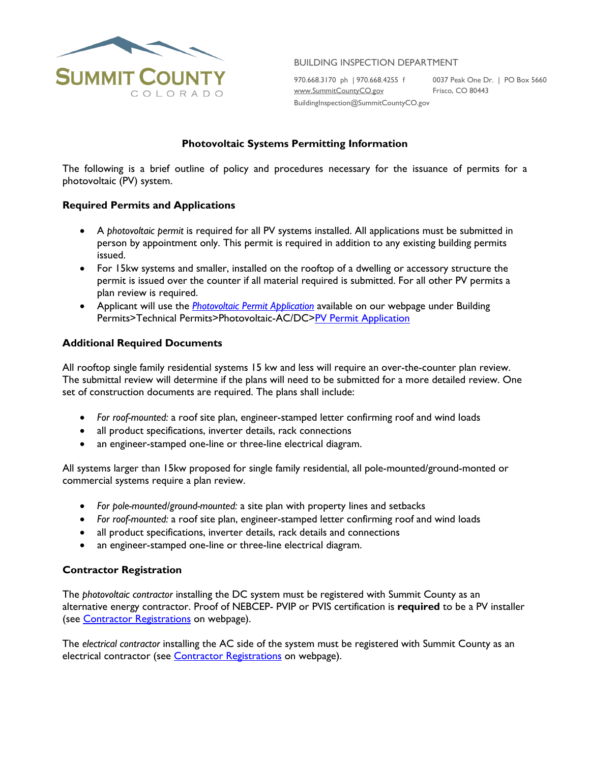

BUILDING INSPECTION DEPARTMENT

970.668.3170 ph | 970.668.4255 f 0037 Peak One Dr. | PO Box 5660<br>www.<u>SummitCountyCO.gov</u> Frisco, CO 80443 [www.SummitCountyCO.gov](http://www.summitcountyco.gov/)

BuildingInspection@SummitCountyCO.gov

# **Photovoltaic Systems Permitting Information**

The following is a brief outline of policy and procedures necessary for the issuance of permits for a photovoltaic (PV) system.

## **Required Permits and Applications**

- A *photovoltaic permit* is required for all PV systems installed. All applications must be submitted in person by appointment only. This permit is required in addition to any existing building permits issued.
- For 15kw systems and smaller, installed on the rooftop of a dwelling or accessory structure the permit is issued over the counter if all material required is submitted. For all other PV permits a plan review is required.
- Applicant will use the *[Photovoltaic Permit Application](https://www.summitcountyco.gov/DocumentCenter/View/25792/PV-permit-application-writeable)* available on our webpage under Building Permits>Technical Permits>Photovoltaic-AC/DC[>PV Permit Application](https://www.summitcountyco.gov/DocumentCenter/View/25792/PV-permit-application-writeable)

## **Additional Required Documents**

All rooftop single family residential systems 15 kw and less will require an over-the-counter plan review. The submittal review will determine if the plans will need to be submitted for a more detailed review. One set of construction documents are required. The plans shall include:

- *For roof-mounted:* a roof site plan, engineer-stamped letter confirming roof and wind loads
- all product specifications, inverter details, rack connections
- an engineer-stamped one-line or three-line electrical diagram.

All systems larger than 15kw proposed for single family residential, all pole-mounted/ground-monted or commercial systems require a plan review.

- *For pole-mounted/ground-mounted:* a site plan with property lines and setbacks
- *For roof-mounted:* a roof site plan, engineer-stamped letter confirming roof and wind loads
- all product specifications, inverter details, rack details and connections
- an engineer-stamped one-line or three-line electrical diagram.

## **Contractor Registration**

The *photovoltaic contractor* installing the DC system must be registered with Summit County as an alternative energy contractor. Proof of NEBCEP- PVIP or PVIS certification is **required** to be a PV installer (see **Contractor Registrations** on webpage).

The *electrical contractor* installing the AC side of the system must be registered with Summit County as an electrical contractor (see [Contractor Registrations](https://www.summitcountyco.gov/165/Contractor-Registrations) on webpage).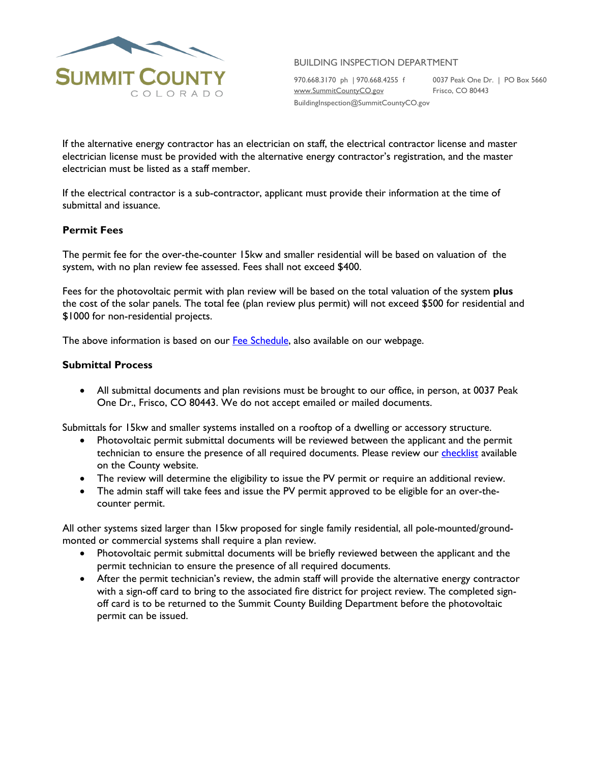

BUILDING INSPECTION DEPARTMENT

970.668.3170 ph | 970.668.4255 f 0037 Peak One Dr. | PO Box 5660<br>www.Sum<u>mitCountyCO.gov</u> Frisco, CO 80443 [www.SummitCountyCO.gov](http://www.summitcountyco.gov/)

BuildingInspection@SummitCountyCO.gov

If the alternative energy contractor has an electrician on staff, the electrical contractor license and master electrician license must be provided with the alternative energy contractor's registration, and the master electrician must be listed as a staff member.

If the electrical contractor is a sub-contractor, applicant must provide their information at the time of submittal and issuance.

## **Permit Fees**

The permit fee for the over-the-counter 15kw and smaller residential will be based on valuation of the system, with no plan review fee assessed. Fees shall not exceed \$400.

Fees for the photovoltaic permit with plan review will be based on the total valuation of the system **plus** the cost of the solar panels. The total fee (plan review plus permit) will not exceed \$500 for residential and \$1000 for non-residential projects.

The above information is based on our [Fee Schedule,](https://www.summitcountyco.gov/962/Building-Permit-Fee-Schedule) also available on our webpage.

## **Submittal Process**

• All submittal documents and plan revisions must be brought to our office, in person, at 0037 Peak One Dr., Frisco, CO 80443. We do not accept emailed or mailed documents.

Submittals for 15kw and smaller systems installed on a rooftop of a dwelling or accessory structure.

- Photovoltaic permit submittal documents will be reviewed between the applicant and the permit technician to ensure the presence of all required documents. Please review our *checklist* available on the County website.
- The review will determine the eligibility to issue the PV permit or require an additional review.
- The admin staff will take fees and issue the PV permit approved to be eligible for an over-thecounter permit.

All other systems sized larger than 15kw proposed for single family residential, all pole-mounted/groundmonted or commercial systems shall require a plan review.

- Photovoltaic permit submittal documents will be briefly reviewed between the applicant and the permit technician to ensure the presence of all required documents.
- After the permit technician's review, the admin staff will provide the alternative energy contractor with a sign-off card to bring to the associated fire district for project review. The completed signoff card is to be returned to the Summit County Building Department before the photovoltaic permit can be issued.